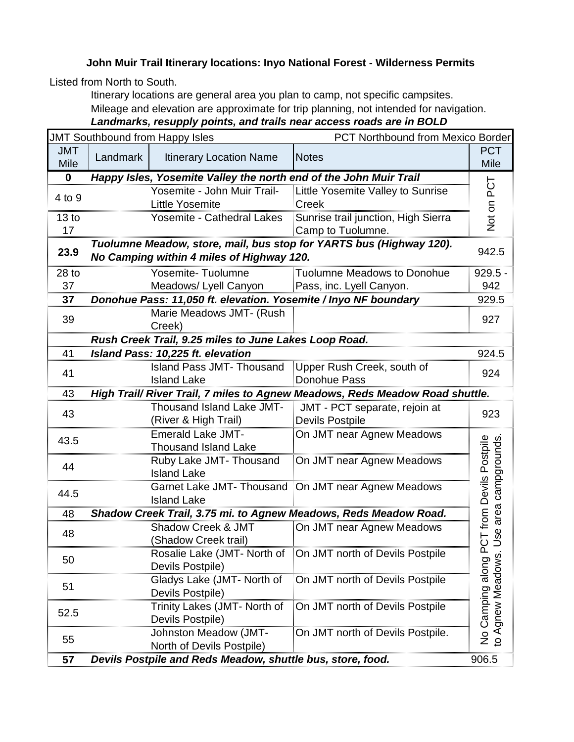## **John Muir Trail Itinerary locations: Inyo National Forest - Wilderness Permits**

Listed from North to South.

Itinerary locations are general area you plan to camp, not specific campsites. Mileage and elevation are approximate for trip planning, not intended for navigation. *Landmarks, resupply points, and trails near access roads are in BOLD*

|                           | <b>JMT Southbound from Happy Isles</b><br>PCT Northbound from Mexico Border |                                                                   |                                                                              |                                           |
|---------------------------|-----------------------------------------------------------------------------|-------------------------------------------------------------------|------------------------------------------------------------------------------|-------------------------------------------|
| <b>JMT</b><br><b>Mile</b> | Landmark                                                                    | <b>Itinerary Location Name</b>                                    | <b>Notes</b>                                                                 | <b>PCT</b><br>Mile                        |
| $\mathbf 0$               |                                                                             | Happy Isles, Yosemite Valley the north end of the John Muir Trail |                                                                              |                                           |
|                           |                                                                             | Yosemite - John Muir Trail-                                       | Little Yosemite Valley to Sunrise                                            | Not on PCT                                |
| 4 to 9                    |                                                                             | <b>Little Yosemite</b>                                            | Creek                                                                        |                                           |
| 13 <sub>to</sub>          |                                                                             | Yosemite - Cathedral Lakes                                        | Sunrise trail junction, High Sierra                                          |                                           |
| 17                        |                                                                             |                                                                   | Camp to Tuolumne.                                                            |                                           |
|                           |                                                                             |                                                                   | Tuolumne Meadow, store, mail, bus stop for YARTS bus (Highway 120).          | 942.5                                     |
| 23.9                      | No Camping within 4 miles of Highway 120.                                   |                                                                   |                                                                              |                                           |
| $28$ to                   |                                                                             | Yosemite-Tuolumne                                                 | <b>Tuolumne Meadows to Donohue</b>                                           | $929.5 -$                                 |
| 37                        |                                                                             | Meadows/ Lyell Canyon                                             | Pass, inc. Lyell Canyon.                                                     | 942                                       |
| 37                        |                                                                             | Donohue Pass: 11,050 ft. elevation. Yosemite / Inyo NF boundary   |                                                                              | 929.5                                     |
| 39                        |                                                                             | Marie Meadows JMT- (Rush                                          |                                                                              | 927                                       |
|                           |                                                                             | Creek)                                                            |                                                                              |                                           |
|                           |                                                                             | Rush Creek Trail, 9.25 miles to June Lakes Loop Road.             |                                                                              |                                           |
| 41                        |                                                                             | <b>Island Pass: 10,225 ft. elevation</b>                          |                                                                              | 924.5                                     |
| 41                        |                                                                             | <b>Island Pass JMT- Thousand</b>                                  | Upper Rush Creek, south of                                                   | 924                                       |
|                           |                                                                             | <b>Island Lake</b>                                                | Donohue Pass                                                                 |                                           |
| 43                        |                                                                             |                                                                   | High Trail/ River Trail, 7 miles to Agnew Meadows, Reds Meadow Road shuttle. |                                           |
| 43                        |                                                                             | Thousand Island Lake JMT-                                         | JMT - PCT separate, rejoin at                                                | 923                                       |
|                           |                                                                             | (River & High Trail)                                              | <b>Devils Postpile</b>                                                       |                                           |
| 43.5                      |                                                                             | <b>Emerald Lake JMT-</b>                                          | On JMT near Agnew Meadows                                                    |                                           |
|                           |                                                                             | <b>Thousand Island Lake</b>                                       |                                                                              | from Devils Postpile<br>area campgrounds. |
| 44                        |                                                                             | Ruby Lake JMT- Thousand                                           | On JMT near Agnew Meadows                                                    |                                           |
|                           |                                                                             | <b>Island Lake</b>                                                |                                                                              |                                           |
| 44.5                      |                                                                             |                                                                   | Garnet Lake JMT- Thousand   On JMT near Agnew Meadows                        |                                           |
|                           |                                                                             | <b>Island Lake</b>                                                |                                                                              |                                           |
| 48                        |                                                                             |                                                                   | Shadow Creek Trail, 3.75 mi. to Agnew Meadows, Reds Meadow Road.             |                                           |
| 48                        |                                                                             |                                                                   | Shadow Creek & JMT     On JMT near Agnew Meadows                             | Jse                                       |
|                           |                                                                             | (Shadow Creek trail)                                              |                                                                              |                                           |
| 50                        |                                                                             | Rosalie Lake (JMT- North of<br>Devils Postpile)                   | On JMT north of Devils Postpile                                              |                                           |
|                           |                                                                             | Gladys Lake (JMT- North of                                        | On JMT north of Devils Postpile                                              |                                           |
| 51                        |                                                                             | Devils Postpile)                                                  |                                                                              |                                           |
|                           |                                                                             | Trinity Lakes (JMT- North of                                      | On JMT north of Devils Postpile                                              |                                           |
| 52.5                      |                                                                             | Devils Postpile)                                                  |                                                                              | Camping along PCT<br>to Agnew Meadows.    |
|                           |                                                                             | Johnston Meadow (JMT-                                             | On JMT north of Devils Postpile.                                             |                                           |
| 55                        |                                                                             | North of Devils Postpile)                                         |                                                                              | $\frac{1}{2}$                             |
| 57                        |                                                                             | Devils Postpile and Reds Meadow, shuttle bus, store, food.        |                                                                              | 906.5                                     |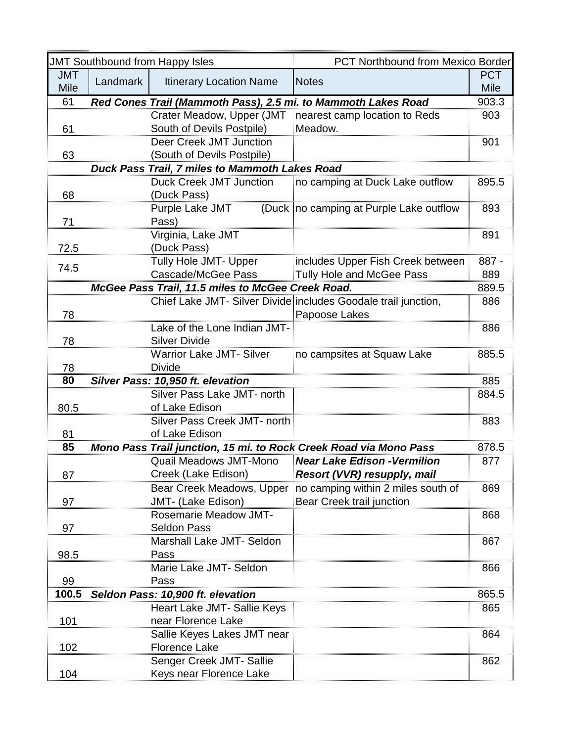| <b>JMT Southbound from Happy Isles</b> |          |                                                                   | <b>PCT Northbound from Mexico Border</b>                       |            |
|----------------------------------------|----------|-------------------------------------------------------------------|----------------------------------------------------------------|------------|
| <b>JMT</b>                             | Landmark | <b>Itinerary Location Name</b>                                    | <b>Notes</b>                                                   | <b>PCT</b> |
| <b>Mile</b>                            |          |                                                                   |                                                                | Mile       |
| 61                                     |          | Red Cones Trail (Mammoth Pass), 2.5 mi. to Mammoth Lakes Road     |                                                                | 903.3      |
|                                        |          | Crater Meadow, Upper (JMT                                         | nearest camp location to Reds                                  | 903        |
| 61                                     |          | South of Devils Postpile)                                         | Meadow.                                                        |            |
|                                        |          | Deer Creek JMT Junction                                           |                                                                | 901        |
| 63                                     |          | (South of Devils Postpile)                                        |                                                                |            |
|                                        |          | Duck Pass Trail, 7 miles to Mammoth Lakes Road                    |                                                                |            |
|                                        |          | <b>Duck Creek JMT Junction</b>                                    | no camping at Duck Lake outflow                                | 895.5      |
| 68                                     |          | (Duck Pass)                                                       |                                                                |            |
|                                        |          | Purple Lake JMT                                                   | (Duck no camping at Purple Lake outflow                        | 893        |
| 71                                     |          | Pass)<br>Virginia, Lake JMT                                       |                                                                | 891        |
|                                        |          | (Duck Pass)                                                       |                                                                |            |
| 72.5                                   |          | <b>Tully Hole JMT- Upper</b>                                      | includes Upper Fish Creek between                              | 887 -      |
| 74.5                                   |          | Cascade/McGee Pass                                                | Tully Hole and McGee Pass                                      | 889        |
|                                        |          | McGee Pass Trail, 11.5 miles to McGee Creek Road.                 |                                                                | 889.5      |
|                                        |          |                                                                   | Chief Lake JMT- Silver Divide includes Goodale trail junction, | 886        |
| 78                                     |          |                                                                   | Papoose Lakes                                                  |            |
|                                        |          | Lake of the Lone Indian JMT-                                      |                                                                | 886        |
| 78                                     |          | <b>Silver Divide</b>                                              |                                                                |            |
|                                        |          | <b>Warrior Lake JMT- Silver</b>                                   | no campsites at Squaw Lake                                     | 885.5      |
| 78                                     |          | <b>Divide</b>                                                     |                                                                |            |
| 80                                     |          | Silver Pass: 10,950 ft. elevation                                 |                                                                | 885        |
|                                        |          | Silver Pass Lake JMT- north                                       |                                                                | 884.5      |
| 80.5                                   |          | of Lake Edison                                                    |                                                                |            |
|                                        |          | Silver Pass Creek JMT- north                                      |                                                                | 883        |
| 81                                     |          | of Lake Edison                                                    |                                                                |            |
| 85                                     |          | Mono Pass Trail iunction. 15 mi. to Rock Creek Road via Mono Pass |                                                                | 878.5      |
|                                        |          | <b>Quail Meadows JMT-Mono</b>                                     | <b>Near Lake Edison - Vermilion</b>                            | 877        |
| 87                                     |          | Creek (Lake Edison)                                               | <b>Resort (VVR) resupply, mail</b>                             |            |
|                                        |          | Bear Creek Meadows, Upper                                         | no camping within 2 miles south of                             | 869        |
| 97                                     |          | JMT- (Lake Edison)                                                | Bear Creek trail junction                                      |            |
|                                        |          | <b>Rosemarie Meadow JMT-</b>                                      |                                                                | 868        |
| 97                                     |          | <b>Seldon Pass</b>                                                |                                                                |            |
|                                        |          | Marshall Lake JMT- Seldon                                         |                                                                | 867        |
| 98.5                                   |          | Pass                                                              |                                                                |            |
|                                        |          | Marie Lake JMT- Seldon                                            |                                                                | 866        |
| 99                                     |          | Pass                                                              |                                                                |            |
| 100.5                                  |          | Seldon Pass: 10,900 ft. elevation                                 |                                                                | 865.5      |
|                                        |          | Heart Lake JMT- Sallie Keys                                       |                                                                | 865        |
| 101                                    |          | near Florence Lake                                                |                                                                |            |
|                                        |          | Sallie Keyes Lakes JMT near                                       |                                                                | 864        |
| 102                                    |          | <b>Florence Lake</b>                                              |                                                                |            |
|                                        |          | Senger Creek JMT- Sallie                                          |                                                                | 862        |
| 104                                    |          | Keys near Florence Lake                                           |                                                                |            |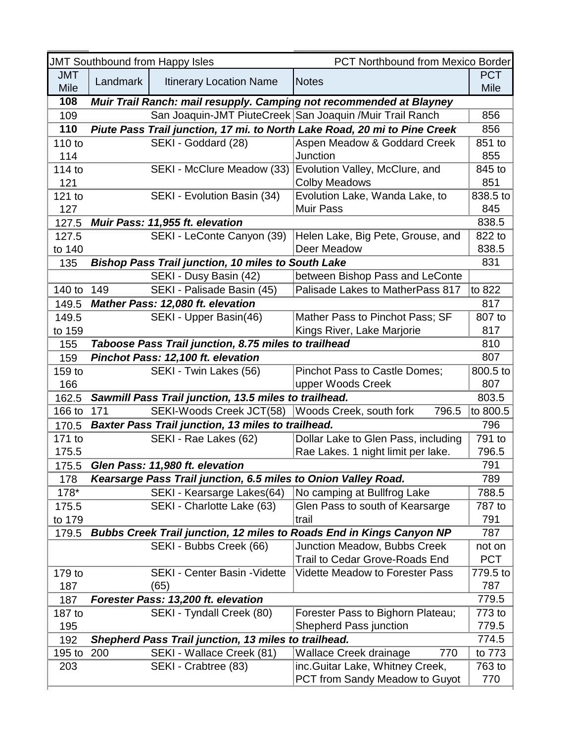|             |          | <b>JMT Southbound from Happy Isles</b>                         | PCT Northbound from Mexico Border                                           |             |
|-------------|----------|----------------------------------------------------------------|-----------------------------------------------------------------------------|-------------|
| <b>JMT</b>  | Landmark | <b>Itinerary Location Name</b>                                 | <b>Notes</b>                                                                | <b>PCT</b>  |
| <b>Mile</b> |          |                                                                |                                                                             | <b>Mile</b> |
| 108         |          |                                                                | Muir Trail Ranch: mail resupply. Camping not recommended at Blayney         |             |
| 109         |          |                                                                | San Joaquin-JMT PiuteCreek San Joaquin / Muir Trail Ranch                   | 856         |
| 110         |          |                                                                | Piute Pass Trail junction, 17 mi. to North Lake Road, 20 mi to Pine Creek   | 856         |
| 110 to      |          | SEKI - Goddard (28)                                            | Aspen Meadow & Goddard Creek                                                | 851 to      |
| 114         |          |                                                                | Junction                                                                    | 855         |
| 114 to      |          | SEKI - McClure Meadow (33)                                     | Evolution Valley, McClure, and                                              | 845 to      |
| 121         |          |                                                                | <b>Colby Meadows</b>                                                        | 851         |
| 121 to      |          | SEKI - Evolution Basin (34)                                    | Evolution Lake, Wanda Lake, to                                              | 838.5 to    |
| 127         |          |                                                                | <b>Muir Pass</b>                                                            | 845         |
| 127.5       |          | Muir Pass: 11,955 ft. elevation                                |                                                                             | 838.5       |
| 127.5       |          | SEKI - LeConte Canyon (39)                                     | Helen Lake, Big Pete, Grouse, and                                           | 822 to      |
| to 140      |          |                                                                | Deer Meadow                                                                 | 838.5       |
| 135         |          | <b>Bishop Pass Trail junction, 10 miles to South Lake</b>      |                                                                             | 831         |
|             |          | SEKI - Dusy Basin (42)                                         | between Bishop Pass and LeConte                                             |             |
| 140 to      | 149      | SEKI - Palisade Basin (45)                                     | Palisade Lakes to MatherPass 817                                            | to 822      |
| 149.5       |          | <b>Mather Pass: 12,080 ft. elevation</b>                       |                                                                             | 817         |
| 149.5       |          | SEKI - Upper Basin(46)                                         | Mather Pass to Pinchot Pass; SF                                             | 807 to      |
| to 159      |          |                                                                | Kings River, Lake Marjorie                                                  | 817         |
| 155         |          | Taboose Pass Trail junction, 8.75 miles to trailhead           |                                                                             | 810         |
| 159         |          | Pinchot Pass: 12,100 ft. elevation                             |                                                                             | 807         |
| 159 to      |          | SEKI - Twin Lakes (56)                                         | Pinchot Pass to Castle Domes;                                               | 800.5 to    |
| 166         |          |                                                                | upper Woods Creek                                                           | 807         |
| 162.5       |          | Sawmill Pass Trail junction, 13.5 miles to trailhead.          |                                                                             | 803.5       |
| 166 to      | 171      | SEKI-Woods Creek JCT(58)                                       | Woods Creek, south fork<br>796.5                                            | to 800.5    |
| 170.5       |          | Baxter Pass Trail junction, 13 miles to trailhead.             |                                                                             | 796         |
| 171 to      |          | SEKI - Rae Lakes (62)                                          | Dollar Lake to Glen Pass, including                                         | 791 to      |
| 175.5       |          |                                                                | Rae Lakes. 1 night limit per lake.                                          | 796.5       |
| 175.5       |          | Glen Pass: 11,980 ft. elevation                                |                                                                             | 791         |
| 178         |          | Kearsarge Pass Trail junction, 6.5 miles to Onion Valley Road. |                                                                             | 789         |
| 178*        |          | SEKI - Kearsarge Lakes(64)                                     | No camping at Bullfrog Lake                                                 | 788.5       |
| 175.5       |          | SEKI - Charlotte Lake (63)                                     | Glen Pass to south of Kearsarge                                             | 787 to      |
| to 179      |          |                                                                | trail                                                                       | 791         |
| 179.5       |          |                                                                | <b>Bubbs Creek Trail junction, 12 miles to Roads End in Kings Canyon NP</b> | 787         |
|             |          | SEKI - Bubbs Creek (66)                                        | Junction Meadow, Bubbs Creek                                                | not on      |
|             |          |                                                                | <b>Trail to Cedar Grove-Roads End</b>                                       | <b>PCT</b>  |
| 179 to      |          | <b>SEKI - Center Basin - Vidette</b>                           | <b>Vidette Meadow to Forester Pass</b>                                      | 779.5 to    |
| 187         |          | (65)                                                           |                                                                             | 787         |
| 187         |          | Forester Pass: 13,200 ft. elevation                            |                                                                             | 779.5       |
| 187 to      |          | SEKI - Tyndall Creek (80)                                      | Forester Pass to Bighorn Plateau;                                           | 773 to      |
| 195         |          |                                                                | <b>Shepherd Pass junction</b>                                               | 779.5       |
| 192         |          | Shepherd Pass Trail junction, 13 miles to trailhead.           |                                                                             | 774.5       |
| $195$ to    | 200      | SEKI - Wallace Creek (81)                                      | Wallace Creek drainage<br>770                                               | to 773      |
| 203         |          | SEKI - Crabtree (83)                                           | inc. Guitar Lake, Whitney Creek,                                            | 763 to      |
|             |          |                                                                | <b>PCT from Sandy Meadow to Guyot</b>                                       | 770         |
|             |          |                                                                |                                                                             |             |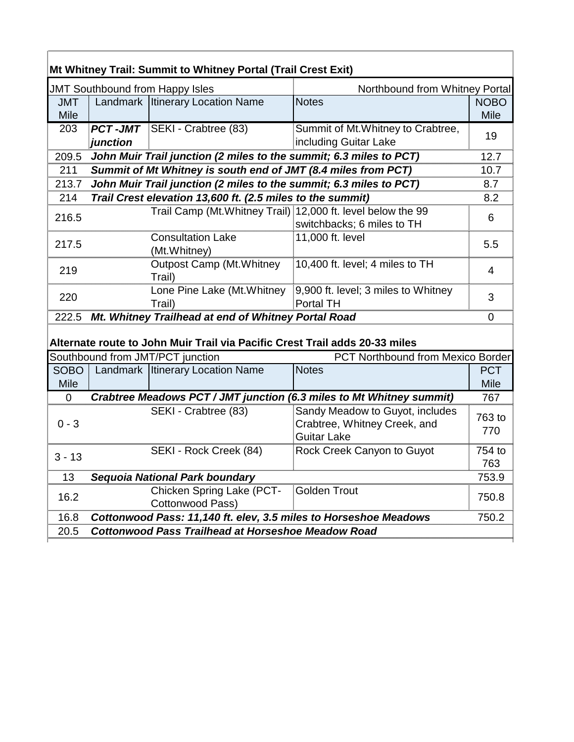|                     |          | <b>JMT Southbound from Happy Isles</b>                                                                                                                | Northbound from Whitney Portal                                                        |                            |
|---------------------|----------|-------------------------------------------------------------------------------------------------------------------------------------------------------|---------------------------------------------------------------------------------------|----------------------------|
| <b>JMT</b><br>Mile  |          | Landmark   Itinerary Location Name                                                                                                                    | <b>Notes</b>                                                                          | <b>NOBO</b><br><b>Mile</b> |
| 203                 | junction | <b>PCT-JMT</b> SEKI - Crabtree (83)                                                                                                                   | Summit of Mt. Whitney to Crabtree,<br>including Guitar Lake                           | 19                         |
| 209.5               |          | John Muir Trail junction (2 miles to the summit; 6.3 miles to PCT)                                                                                    |                                                                                       | 12.7                       |
| 211                 |          | Summit of Mt Whitney is south end of JMT (8.4 miles from PCT)                                                                                         |                                                                                       | 10.7                       |
| 213.7               |          | John Muir Trail junction (2 miles to the summit; 6.3 miles to PCT)                                                                                    |                                                                                       | 8.7                        |
| 214                 |          | Trail Crest elevation 13,600 ft. (2.5 miles to the summit)                                                                                            |                                                                                       | 8.2                        |
| 216.5               |          | Trail Camp (Mt. Whitney Trail) 12,000 ft. level below the 99                                                                                          | switchbacks; 6 miles to TH                                                            | 6                          |
| 217.5               |          | <b>Consultation Lake</b><br>(Mt.Whitney)                                                                                                              | 11,000 ft. level                                                                      | 5.5                        |
| 219                 |          | <b>Outpost Camp (Mt. Whitney)</b><br>Trail)                                                                                                           | 10,400 ft. level; 4 miles to TH                                                       | 4                          |
| 220                 |          | Lone Pine Lake (Mt. Whitney<br>Trail)                                                                                                                 | 9,900 ft. level; 3 miles to Whitney<br>Portal TH                                      | 3                          |
| 222.5               |          | Mt. Whitney Trailhead at end of Whitney Portal Road                                                                                                   |                                                                                       | $\overline{0}$             |
|                     |          |                                                                                                                                                       |                                                                                       |                            |
| <b>SOBO</b><br>Mile |          | Alternate route to John Muir Trail via Pacific Crest Trail adds 20-33 miles<br>Southbound from JMT/PCT junction<br>Landmark   Itinerary Location Name | PCT Northbound from Mexico Border<br><b>Notes</b>                                     | <b>PCT</b><br><b>Mile</b>  |
| $\mathbf 0$         |          |                                                                                                                                                       | Crabtree Meadows PCT / JMT junction (6.3 miles to Mt Whitney summit)                  | 767                        |
| $0 - 3$             |          | SEKI - Crabtree (83)                                                                                                                                  | Sandy Meadow to Guyot, includes<br>Crabtree, Whitney Creek, and<br><b>Guitar Lake</b> | 763 to<br>770              |
| $3 - 13$            |          | SEKI - Rock Creek (84)                                                                                                                                | Rock Creek Canyon to Guyot                                                            | 754 to<br>763              |
| 13                  |          | Sequoia National Park boundary                                                                                                                        |                                                                                       | 753.9                      |
| 16.2                |          | Chicken Spring Lake (PCT-<br><b>Cottonwood Pass)</b>                                                                                                  | <b>Golden Trout</b>                                                                   | 750.8                      |